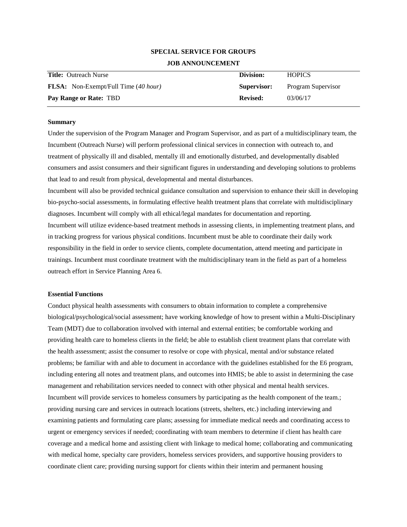# **SPECIAL SERVICE FOR GROUPS JOB ANNOUNCEMENT**

| <b>Title:</b> Outreach Nurse                | Division:       | <b>HOPICS</b>      |
|---------------------------------------------|-----------------|--------------------|
| <b>FLSA:</b> Non-Exempt/Full Time (40 hour) | Supervisor:     | Program Supervisor |
| Pay Range or Rate: TBD                      | <b>Revised:</b> | 03/06/17           |

## **Summary**

Under the supervision of the Program Manager and Program Supervisor, and as part of a multidisciplinary team, the Incumbent (Outreach Nurse) will perform professional clinical services in connection with outreach to, and treatment of physically ill and disabled, mentally ill and emotionally disturbed, and developmentally disabled consumers and assist consumers and their significant figures in understanding and developing solutions to problems that lead to and result from physical, developmental and mental disturbances.

Incumbent will also be provided technical guidance consultation and supervision to enhance their skill in developing bio-psycho-social assessments, in formulating effective health treatment plans that correlate with multidisciplinary diagnoses. Incumbent will comply with all ethical/legal mandates for documentation and reporting. Incumbent will utilize evidence-based treatment methods in assessing clients, in implementing treatment plans, and in tracking progress for various physical conditions. Incumbent must be able to coordinate their daily work responsibility in the field in order to service clients, complete documentation, attend meeting and participate in trainings. Incumbent must coordinate treatment with the multidisciplinary team in the field as part of a homeless outreach effort in Service Planning Area 6.

#### **Essential Functions**

Conduct physical health assessments with consumers to obtain information to complete a comprehensive biological/psychological/social assessment; have working knowledge of how to present within a Multi-Disciplinary Team (MDT) due to collaboration involved with internal and external entities; be comfortable working and providing health care to homeless clients in the field; be able to establish client treatment plans that correlate with the health assessment; assist the consumer to resolve or cope with physical, mental and/or substance related problems; be familiar with and able to document in accordance with the guidelines established for the E6 program, including entering all notes and treatment plans, and outcomes into HMIS; be able to assist in determining the case management and rehabilitation services needed to connect with other physical and mental health services. Incumbent will provide services to homeless consumers by participating as the health component of the team.; providing nursing care and services in outreach locations (streets, shelters, etc.) including interviewing and examining patients and formulating care plans; assessing for immediate medical needs and coordinating access to urgent or emergency services if needed; coordinating with team members to determine if client has health care coverage and a medical home and assisting client with linkage to medical home; collaborating and communicating with medical home, specialty care providers, homeless services providers, and supportive housing providers to coordinate client care; providing nursing support for clients within their interim and permanent housing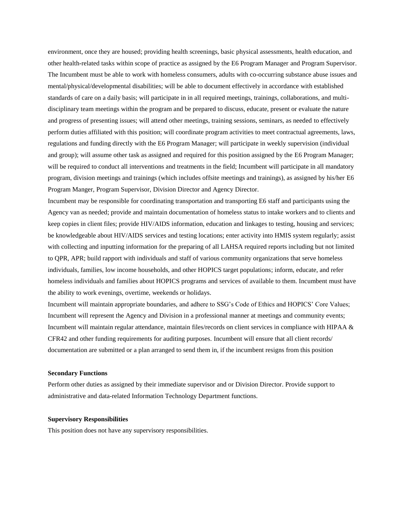environment, once they are housed; providing health screenings, basic physical assessments, health education, and other health-related tasks within scope of practice as assigned by the E6 Program Manager and Program Supervisor. The Incumbent must be able to work with homeless consumers, adults with co-occurring substance abuse issues and mental/physical/developmental disabilities; will be able to document effectively in accordance with established standards of care on a daily basis; will participate in in all required meetings, trainings, collaborations, and multidisciplinary team meetings within the program and be prepared to discuss, educate, present or evaluate the nature and progress of presenting issues; will attend other meetings, training sessions, seminars, as needed to effectively perform duties affiliated with this position; will coordinate program activities to meet contractual agreements, laws, regulations and funding directly with the E6 Program Manager; will participate in weekly supervision (individual and group); will assume other task as assigned and required for this position assigned by the E6 Program Manager; will be required to conduct all interventions and treatments in the field; Incumbent will participate in all mandatory program, division meetings and trainings (which includes offsite meetings and trainings), as assigned by his/her E6 Program Manger, Program Supervisor, Division Director and Agency Director.

Incumbent may be responsible for coordinating transportation and transporting E6 staff and participants using the Agency van as needed; provide and maintain documentation of homeless status to intake workers and to clients and keep copies in client files; provide HIV/AIDS information, education and linkages to testing, housing and services; be knowledgeable about HIV/AIDS services and testing locations; enter activity into HMIS system regularly; assist with collecting and inputting information for the preparing of all LAHSA required reports including but not limited to QPR, APR; build rapport with individuals and staff of various community organizations that serve homeless individuals, families, low income households, and other HOPICS target populations; inform, educate, and refer homeless individuals and families about HOPICS programs and services of available to them. Incumbent must have the ability to work evenings, overtime, weekends or holidays.

Incumbent will maintain appropriate boundaries, and adhere to SSG's Code of Ethics and HOPICS' Core Values; Incumbent will represent the Agency and Division in a professional manner at meetings and community events; Incumbent will maintain regular attendance, maintain files/records on client services in compliance with HIPAA & CFR42 and other funding requirements for auditing purposes. Incumbent will ensure that all client records/ documentation are submitted or a plan arranged to send them in, if the incumbent resigns from this position

## **Secondary Functions**

Perform other duties as assigned by their immediate supervisor and or Division Director. Provide support to administrative and data-related Information Technology Department functions.

### **Supervisory Responsibilities**

This position does not have any supervisory responsibilities.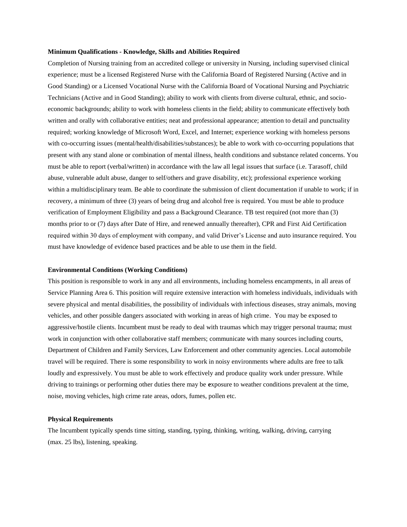#### **Minimum Qualifications - Knowledge, Skills and Abilities Required**

Completion of Nursing training from an accredited college or university in Nursing, including supervised clinical experience; must be a licensed Registered Nurse with the California Board of Registered Nursing (Active and in Good Standing) or a Licensed Vocational Nurse with the California Board of Vocational Nursing and Psychiatric Technicians (Active and in Good Standing); ability to work with clients from diverse cultural, ethnic, and socioeconomic backgrounds; ability to work with homeless clients in the field; ability to communicate effectively both written and orally with collaborative entities; neat and professional appearance; attention to detail and punctuality required; working knowledge of Microsoft Word, Excel, and Internet; experience working with homeless persons with co-occurring issues (mental/health/disabilities/substances); be able to work with co-occurring populations that present with any stand alone or combination of mental illness, health conditions and substance related concerns. You must be able to report (verbal/written) in accordance with the law all legal issues that surface (i.e. Tarasoff, child abuse, vulnerable adult abuse, danger to self/others and grave disability, etc); professional experience working within a multidisciplinary team. Be able to coordinate the submission of client documentation if unable to work; if in recovery, a minimum of three (3) years of being drug and alcohol free is required. You must be able to produce verification of Employment Eligibility and pass a Background Clearance. TB test required (not more than (3) months prior to or (7) days after Date of Hire, and renewed annually thereafter), CPR and First Aid Certification required within 30 days of employment with company, and valid Driver's License and auto insurance required. You must have knowledge of evidence based practices and be able to use them in the field.

#### **Environmental Conditions (Working Conditions)**

This position is responsible to work in any and all environments, including homeless encampments, in all areas of Service Planning Area 6. This position will require extensive interaction with homeless individuals, individuals with severe physical and mental disabilities, the possibility of individuals with infectious diseases, stray animals, moving vehicles, and other possible dangers associated with working in areas of high crime. You may be exposed to aggressive/hostile clients. Incumbent must be ready to deal with traumas which may trigger personal trauma; must work in conjunction with other collaborative staff members; communicate with many sources including courts, Department of Children and Family Services, Law Enforcement and other community agencies. Local automobile travel will be required. There is some responsibility to work in noisy environments where adults are free to talk loudly and expressively. You must be able to work effectively and produce quality work under pressure. While driving to trainings or performing other duties there may be **e**xposure to weather conditions prevalent at the time, noise, moving vehicles, high crime rate areas, odors, fumes, pollen etc.

# **Physical Requirements**

The Incumbent typically spends time sitting, standing, typing, thinking, writing, walking, driving, carrying (max. 25 lbs), listening, speaking.